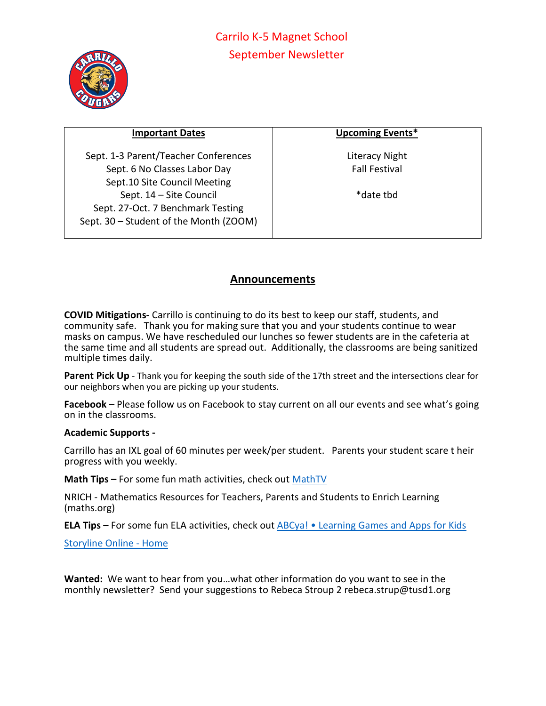

| <b>Important Dates</b>                 | <b>Upcoming Events*</b> |
|----------------------------------------|-------------------------|
| Sept. 1-3 Parent/Teacher Conferences   | Literacy Night          |
| Sept. 6 No Classes Labor Day           | <b>Fall Festival</b>    |
| Sept.10 Site Council Meeting           |                         |
| Sept. 14 - Site Council                | *date thd               |
| Sept. 27-Oct. 7 Benchmark Testing      |                         |
| Sept. 30 - Student of the Month (ZOOM) |                         |
|                                        |                         |

## **Announcements**

**COVID Mitigations-** Carrillo is continuing to do its best to keep our staff, students, and community safe. Thank you for making sure that you and your students continue to wear masks on campus. We have rescheduled our lunches so fewer students are in the cafeteria at the same time and all students are spread out. Additionally, the classrooms are being sanitized multiple times daily.

**Parent Pick Up** - Thank you for keeping the south side of the 17th street and the intersections clear for our neighbors when you are picking up your students.

**Facebook –** Please follow us on Facebook to stay current on all our events and see what's going on in the classrooms.

## **Academic Supports -**

Carrillo has an IXL goal of 60 minutes per week/per student. Parents your student scare t heir progress with you weekly.

**Math Tips –** For some fun math activities, check out [MathTV](https://mathtv.com/)

NRICH - Mathematics Resources for Teachers, Parents and Students to Enrich Learning (maths.org)

**ELA Tips** – For some fun ELA activities, check out ABCya! [• Learning Games and Apps for Kids](https://www.abcya.com/)

[Storyline Online -](https://storylineonline.net/) Home

**Wanted:** We want to hear from you…what other information do you want to see in the monthly newsletter? Send your suggestions to Rebeca Stroup 2 rebeca.strup@tusd1.org